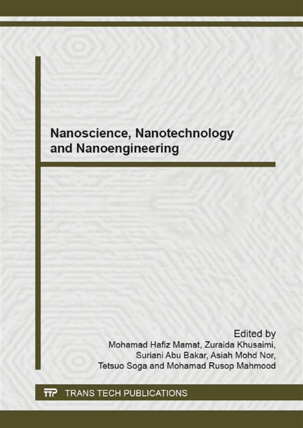## Nanoscience, Nanotechnology and Nanoengineering

**Edited by** Mohamad Hafiz Mamat, Zuraida Khusaimi, Suriani Abu Bakar, Asiah Mohd Nor, Tetsuo Soga and Mohamad Rusop Mahmood

**TRANS TECH PUBLICATIONS TTC**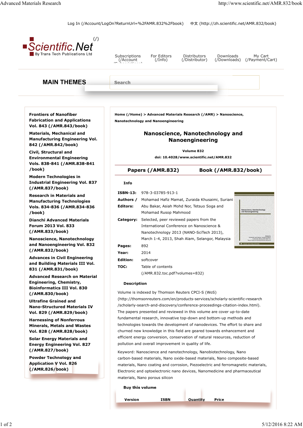Log In (/Account/LogOn?ReturnUrl=%2FAMR.832%2Fbook) 中文 (http://zh.scientific.net/AMR.832/book)

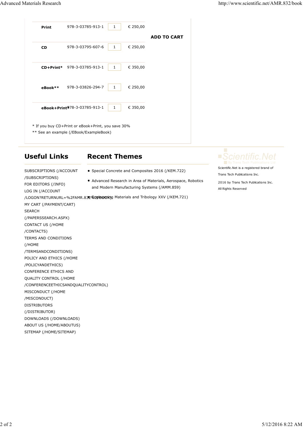| <b>Print</b>  | 978-3-03785-913-1                                                                            | $\mathbf{1}$ | € 250,00 |                    |
|---------------|----------------------------------------------------------------------------------------------|--------------|----------|--------------------|
| <b>CD</b>     | 978-3-03795-607-6                                                                            | 1            | € 250,00 | <b>ADD TO CART</b> |
|               |                                                                                              |              |          |                    |
|               | CD+Print* 978-3-03785-913-1                                                                  | 1            | € 350,00 |                    |
| $e$ Book $**$ | 978-3-03826-294-7                                                                            | 1            | € 250,00 |                    |
|               | eBook+Print <sup>978-3-03785-913-1</sup>                                                     | $\mathbf{1}$ | € 350,00 |                    |
|               | * If you buy CD+Print or eBook+Print, you save 30%<br>** See an example (/EBook/ExampleBook) |              |          |                    |

### **Useful Links**

/SUBSCRIPTIONS) FOR EDITORS (/INFO)

SUBSCRIPTIONS (/ACCOUNT

#### **Recent Themes**

- Special Concrete and Composites 2016 (/KEM.722)
- Advanced Research in Area of Materials, Aerospace, Robotics and Modern Manufacturing Systems (/AMM.859)

LOG IN (/ACCOUNT /LOGON?RETURNURL=%2FAMR.832*%}*99#jeeokyg Materials and Tribology XXV (/KEM.721) MY CART (/PAYMENT/CART) SEARCH (/PAPERSSEARCH.ASPX) CONTACT US (/HOME /CONTACTS) TERMS AND CONDITIONS (/HOME /TERMSANDCONDITIONS) POLICY AND ETHICS (/HOME /POLICYANDETHICS) CONFERENCE ETHICS AND QUALITY CONTROL (/HOME /CONFERENCEETHICSANDQUALITYCONTROL) MISCONDUCT (/HOME /MISCONDUCT) DISTRIBUTORS (/DISTRIBUTOR) DOWNLOADS (/DOWNLOADS) ABOUT US (/HOME/ABOUTUS) SITEMAP (/HOME/SITEMAP)

Scientific.Net is a registered brand of Trans Tech Publications Inc.

2016 by Trans Tech Publications Inc. All Rights Reserved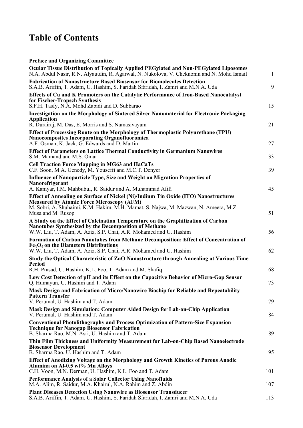# **Table of Contents**

## **Preface and Organizing Committee**

| Ocular Tissue Distribution of Topically Applied PEGylated and Non-PEGylated Liposomes<br>N.A. Abdul Nasir, R.N. Alyautdin, R. Agarwal, N. Nukolova, V. Cheknonin and N. Mohd Ismail                                            | $\mathbf{1}$ |
|--------------------------------------------------------------------------------------------------------------------------------------------------------------------------------------------------------------------------------|--------------|
| <b>Fabrication of Nanostructure Based Biosensor for Biomolecules Detection</b><br>S.A.B. Ariffin, T. Adam, U. Hashim, S. Faridah Sfaridah, I. Zamri and M.N.A. Uda                                                             | 9            |
| <b>Effects of Cu and K Promoters on the Catalytic Performance of Iron-Based Nanocatalyst</b><br>for Fischer-Tropsch Synthesis                                                                                                  |              |
| S.F.H. Tasfy, N.A. Mohd Zabidi and D. Subbarao                                                                                                                                                                                 | 15           |
| Investigation on the Morphology of Sintered Silver Nanomaterial for Electronic Packaging<br><b>Application</b>                                                                                                                 |              |
| R. Durairaj, M. Das, E. Morris and S. Namasiyayam                                                                                                                                                                              | 21           |
| Effect of Processing Route on the Morphology of Thermoplastic Polyurethane (TPU)<br><b>Nanocomposites Incorporating Organofluoromica</b><br>A.F. Osman, K. Jack, G. Edwards and D. Martin                                      | 27           |
| <b>Effect of Parameters on Lattice Thermal Conductivity in Germanium Nanowires</b><br>S.M. Mamand and M.S. Omar                                                                                                                | 33           |
| <b>Cell Traction Force Mapping in MG63 and HaCaTs</b><br>C.F. Soon, M.A. Genedy, M. Youseffi and M.C.T. Denyer                                                                                                                 | 39           |
| Influence of Nanoparticle Type, Size and Weight on Migration Properties of<br>Nanorefrigerant                                                                                                                                  |              |
| A. Kamyar, I.M. Mahbubul, R. Saidur and A. Muhammad Afifi                                                                                                                                                                      | 45           |
| Effect of Annealing on Surface of Nickel (Ni)/Indium Tin Oxide (ITO) Nanostructures<br><b>Measured by Atomic Force Microscopy (AFM)</b><br>M. Sobri, A. Shuhaimi, K.M. Hakim, M.H. Mamat, S. Najwa, M. Mazwan, N. Ameera, M.Z. |              |
| Musa and M. Rusop                                                                                                                                                                                                              | 51           |
| A Study on the Effect of Calcination Temperature on the Graphitization of Carbon<br><b>Nanotubes Synthesized by the Decomposition of Methane</b><br>W.W. Liu, T. Adam, A. Aziz, S.P. Chai, A.R. Mohamed and U. Hashim          | 56           |
| Formation of Carbon Nanotubes from Methane Decomposition: Effect of Concentration of<br>$Fe3O4$ on the Diameters Distributions<br>W.W. Liu, T. Adam, A. Aziz, S.P. Chai, A.R. Mohamed and U. Hashim                            | 62           |
| Study the Optical Characteristic of ZnO Nanostructure through Annealing at Various Time                                                                                                                                        |              |
| Period<br>R.H. Prasad, U. Hashim, K.L. Foo, T. Adam and M. Shafiq                                                                                                                                                              | 68           |
| Low Cost Detection of pH and its Effect on the Capacitive Behavior of Micro-Gap Sensor<br>Q. Humayun, U. Hashim and T. Adam                                                                                                    | 73           |
| Mask Design and Fabrication of Micro/Nanowire Biochip for Reliable and Repeatability<br><b>Pattern Transfer</b>                                                                                                                |              |
| V. Perumal, U. Hashim and T. Adam                                                                                                                                                                                              | 79           |
| Mask Design and Simulation: Computer Aided Design for Lab-on-Chip Application<br>V. Perumal, U. Hashim and T. Adam                                                                                                             | 84           |
| <b>Conventional Photolithography and Process Optimization of Pattern-Size Expansion</b><br><b>Technique for Nanogap Biosensor Fabrication</b><br>B. Sharma Rao, M.N. Asri, U. Hashim and T. Adam                               | 89           |
| Thin Film Thickness and Uniformity Measurement for Lab-on-Chip Based Nanoelectrode<br><b>Biosensor Development</b>                                                                                                             |              |
| B. Sharma Rao, U. Hashim and T. Adam                                                                                                                                                                                           | 95           |
| <b>Effect of Anodizing Voltage on the Morphology and Growth Kinetics of Porous Anodic</b><br>Alumina on Al-0.5 wt% Mn Alloys<br>C.H. Voon, M.N. Derman, U. Hashim, K.L. Foo and T. Adam                                        | 101          |
| Performance Analysis of a Solar Collector Using Nanofluids<br>M.A. Alim, R. Saidur, M.A. Khairul, N.A. Rahim and Z. Abdin                                                                                                      | 107          |
| <b>Plant Diseases Detection Using Nanowire as Biosensor Transducer</b><br>S.A.B. Ariffin, T. Adam, U. Hashim, S. Faridah Sfaridah, I. Zamri and M.N.A. Uda                                                                     | 113          |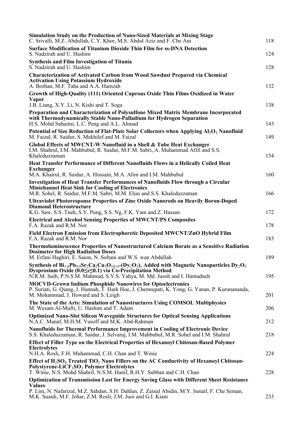| Simulation Study on the Production of Nano-Sized Materials at Mixing Stage<br>C. Srivalli, M.Z. Abdullah, C.Y. Khor, M.S. Abdul Aziz and F. Che Ani                                                                                                          | 118        |
|--------------------------------------------------------------------------------------------------------------------------------------------------------------------------------------------------------------------------------------------------------------|------------|
| <b>Surface Modification of Titanium Dioxide Thin Film for ss-DNA Detection</b><br>S. Nadzirah and U. Hashim                                                                                                                                                  | 124        |
| <b>Synthesis and Film Investigation of Titania</b><br>S. Nadzirah and U. Hashim                                                                                                                                                                              | 128        |
| <b>Characterization of Activated Carbon from Wood Sawdust Prepared via Chemical</b><br><b>Activation Using Potassium Hydroxide</b><br>A. Borhan, M.F. Taha and A.A. Hamzah                                                                                   | 132        |
| Growth of High-Quality (111) Oriented Cuprous Oxide Thin Films Oxidized in Water<br>Vapor                                                                                                                                                                    |            |
| J.B. Liang, X.Y. Li, N. Kishi and T. Soga<br>Preparation and Characterization of Polysulfone Mixed Matrix Membrane Incorporated<br>with Thermodynamically Stable Nano-Palladium for Hydrogen Separation<br>H.S. Mohd Suhaimi, L.C. Peng and A.L. Ahmad       | 138<br>143 |
| Potential of Size Reduction of Flat-Plate Solar Collectors when Applying $Al_2O_3$ Nanofluid<br>M. Faizal, R. Saidur, S. Mekhilef and M. Faizal                                                                                                              | 149        |
| Global Effects of MWCNT-W Nanofluid in a Shell & Tube Heat Exchanger<br>I.M. Shahrul, I.M. Mahbubul, R. Saidur, M.F.M. Sabri, A. Muhammad Afifi and S.S.<br>Khaleduzzaman                                                                                    | 154        |
| <b>Heat Transfer Performance of Different Nanofluids Flows in a Helically Coiled Heat</b><br><b>Exchanger</b>                                                                                                                                                |            |
| M.A. Khairul, R. Saidur, A. Hossain, M.A. Alim and I.M. Mahbubul                                                                                                                                                                                             | 160        |
| <b>Investigation of Heat Transfer Performances of Nanofluids Flow through a Circular</b><br><b>Minichannel Heat Sink for Cooling of Electronics</b><br>M.R. Sohel, R. Saidur, M.F.M. Sabri, M.M. Elias and S.S. Khaleduzzaman                                | 166        |
| <b>Ultraviolet Photoresponse Properties of Zinc Oxide Nanorods on Heavily Boron-Doped</b><br><b>Diamond Heterostructure</b>                                                                                                                                  |            |
| K.G. Saw, S.S. Tneh, S.Y. Pung, S.S. Ng, F.K. Yam and Z. Hassan<br><b>Electrical and Alcohol Sensing Properties of MWCNT/PS Composites</b><br>F.A. Razak and R.M. Nor                                                                                        | 172<br>178 |
| Field Electron Emission from Electrophoretic Deposited MWCNT/ZnO Hybrid Film<br>F.A. Razak and R.M. Nor                                                                                                                                                      | 183        |
| <b>Thermoluminescence Properties of Nanostructured Calcium Borate as a Sensitive Radiation</b><br><b>Dosimeter for High Radiation Doses</b><br>M. Erfani Haghiri, E. Saion, N. Soltani and W.S. wan Abdullah                                                 | 189        |
| Synthesis of $Bi_{1.6}Pb_{0.4}Sr_2Ca_2Cu_3O_{10+\delta}$ - $(Dy_2O_3)_x$ Added with Magnetic Nanoparticles $Dy_2O_3$<br>Dysprosium Oxide (0.0≤x≤0.1) via Co-Precipitation Method<br>N.R.M. Suib, P.N.S.M. Mahmud, S.Y.S. Yahya, M. Md. Jusoh and I. Hamadneh | 195        |
| <b>MOCVD-Grown Indium Phosphide Nanowires for Optoelectronics</b><br>P. Suriati, G. Qiang, J. Hannah, T. Hark Hoe, J. Chennupati, K. Yong, G. Yanan, P. Kuranananda,                                                                                         |            |
| M. Mohammad, J. Howard and S. Leigh<br>The State of the Arts: Simulation of Nanostructures Using COMSOL Multiphysics                                                                                                                                         | 201        |
| M. Wesam Al-Mufti, U. Hashim and T. Adam                                                                                                                                                                                                                     | 206        |
| <b>Optimized Nano-Slot Silicon Waveguide Structures for Optical Sensing Applications</b><br>N.A.C. Manaf, M.H.M. Yusoff and M.K. Abd-Rahman                                                                                                                  | 212        |
| <b>Nanofluids for Thermal Performance Improvement in Cooling of Electronic Device</b><br>S.S. Khaleduzzaman, R. Saidur, J. Selvaraj, I.M. Mahbubul, M.R. Sohel and I.M. Shahrul                                                                              | 218        |
| <b>Effect of Filler Type on the Electrical Properties of Hexanoyl Chitosan-Based Polymer</b><br><b>Electrolytes</b>                                                                                                                                          |            |
| N.H.A. Rosli, F.H. Muhammad, C.H. Chan and T. Winie                                                                                                                                                                                                          | 224        |
| Effect of $H_2SO_4$ Treated TiO <sub>2</sub> Nano Fillers on the AC Conductivity of Hexanoyl Chitosan-<br>Polystyrene-LiCF <sub>3</sub> SO <sub>3</sub> Polymer Electrolytes<br>T. Winie, N.S. Mohd Shahril, N.S.M. Hanif, R.H.Y. Subban and C.H. Chan       | 228        |
| <b>Optimization of Transmission Lost for Energy Saving Glass with Different Sheet Resistance</b>                                                                                                                                                             |            |
| <b>Values</b><br>P. Lim, N. Nafarizal, M.Z. Sahdan, S.H. Dahlan, Z. Zainal Abidin, M.Y. Ismail, F. Che Seman,<br>M.K. Suaidi, M.F. Johar, Z.M. Rosli, J.M. Juoi and G.I. Kiani                                                                               | 233        |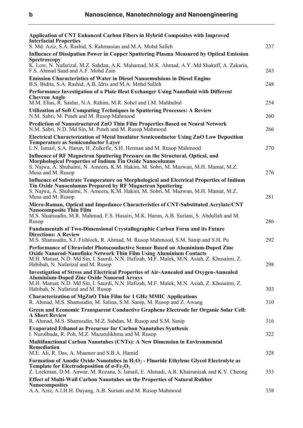| <b>Application of CNT Enhanced Carbon Fibers in Hybrid Composites with Improved</b><br><b>Interfacial Properties</b><br>S. Md. Aziz, S.A. Rashid, S. Rahmanian and M.A. Mohd Salleh                                                           | 237 |
|-----------------------------------------------------------------------------------------------------------------------------------------------------------------------------------------------------------------------------------------------|-----|
| <b>Influence of Dissipation Power in Copper Sputtering Plasma Measured by Optical Emission</b><br>Spectroscopy                                                                                                                                |     |
| K. Low, N. Nafarizal, M.Z. Sahdan, A.K. Mahamad, M.K. Ahmad, A.Y. Md Shakaff, A. Zakaria,<br>F.S. Ahmad Saad and A.F. Mohd Zain                                                                                                               | 243 |
| <b>Emission Characteristics of Water in Diesel Nanoemulsions in Diesel Engine</b><br>B.S. Bidita, S.A. Rashid, A.B. Idris and M.A. Mohd Salleh                                                                                                | 248 |
| Performance Investigation of a Plate Heat Exchanger Using Nanofluid with Different<br><b>Chevron Angle</b>                                                                                                                                    |     |
| M.M. Elias, R. Saidur, N.A. Rahim, M.R. Sohel and I.M. Mahbubul                                                                                                                                                                               | 254 |
| <b>Utilization of Soft Computing Techniques in Sputtering Processes: A Review</b><br>N.M. Sabri, M. Puteh and M. Rusop Mahmood                                                                                                                | 260 |
| Prediction of Nanostructured ZnO Thin Film Properties Based on Neural Network<br>N.M. Sabri, N.D. Md Sin, M. Puteh and M. Rusop Mahmood                                                                                                       | 266 |
| Electrical Characterization of Metal Insulator Semiconductor Using ZnO Low Deposition<br><b>Temperature as Semiconductor Layer</b>                                                                                                            |     |
| L.N. Ismail, S.A. Harun, H. Zulkefle, S.H. Herman and M. Rusop Mahmood                                                                                                                                                                        | 270 |
| Influence of RF Magnetron Sputtering Pressure on the Structural, Optical, and<br>Morphological Properties of Indium Tin Oxide Nanocolumns                                                                                                     |     |
| S. Najwa, A. Shuhaimi, N. Ameera, K.M. Hakim, M. Sobri, M. Mazwan, M.H. Mamat, M.Z.<br>Musa and M. Rusop                                                                                                                                      | 276 |
| Influence of Substrate Temperature on Morphological and Electrical Properties of Indium<br>Tin Oxide Nanocolumns Prepared by RF Magnetron Sputtering                                                                                          |     |
| S. Najwa, A. Shuhaimi, N. Ameera, K.M. Hakim, M. Sobri, M. Mazwan, M.H. Mamat, M.Z.<br>Musa and M. Rusop                                                                                                                                      | 281 |
| Micro-Raman, Optical and Impedance Characteristics of CNT-Substituted Acrylate/CNT<br><b>Nanocomposite Thin Film</b>                                                                                                                          |     |
| M.S. Shamsudin, M.R. Mahmud, F.S. Husairi, M.K. Harun, A.B. Suriani, S. Abdullah and M.<br>Rusop                                                                                                                                              | 286 |
| <b>Fundamentals of Two-Dimensional Crystallographic Carbon Form and its Future</b><br><b>Directions: A Review</b>                                                                                                                             |     |
| M.S. Shamsudin, S.J. Fishlock, R. Ahmad, M. Rusop Mahmood, S.M. Sanip and S.H. Pu<br>Performance of Ultraviolet Photoconductive Sensor Based on Aluminium-Doped Zinc                                                                          | 292 |
| <b>Oxide Nanorod-Nanoflake Network Thin Film Using Aluminium Contacts</b><br>M.H. Mamat, N.D. Md Sin, I. Saurdi, N.N. Hafizah, M.F. Malek, M.N. Asiah, Z. Khusaimi, Z.                                                                        |     |
| Habibah, N. Nafarizal and M. Rusop                                                                                                                                                                                                            | 298 |
| <b>Investigation of Stress and Electrical Properties of Air-Annealed and Oxygen-Annealed</b><br><b>Aluminium-Doped Zinc Oxide Nanorod Arrays</b><br>M.H. Mamat, N.D. Md Sin, I. Saurdi, N.N. Hafizah, M.F. Malek, M.N. Asiah, Z. Khusaimi, Z. |     |
| Habibah, N. Nafarizal and M. Rusop                                                                                                                                                                                                            | 303 |
| <b>Characterization of MgZnO Thin Film for 1 GHz MMIC Applications</b><br>R. Ahmad, M.S. Shamsudin, M. Salina, S.M. Sanip, M. Rusop and Z. Awang                                                                                              | 310 |
| <b>Green and Economic Transparent Conductive Graphene Electrode for Organic Solar Cell:</b>                                                                                                                                                   |     |
| <b>A Short Review</b><br>R. Ahmad, M.S. Shamsudin, M.Z. Sahdan, M. Rusop and S.M. Sanip                                                                                                                                                       | 316 |
| <b>Evaporated Ethanol as Precursor for Carbon Nanotubes Synthesis</b><br>I. Nurulhuda, R. Poh, M.Z. Mazatulikhma and M. Rusop                                                                                                                 | 322 |
| <b>Multifunctional Carbon Nanotubes (CNTs): A New Dimension in Environmental</b><br><b>Remediation</b>                                                                                                                                        |     |
| M.E. Ali, R. Das, A. Maamor and S.B.A. Hamid<br>Formation of Anodic Oxide Nanotubes in $H_2O_2$ - Fluoride Ethylene Glycol Electrolyte as                                                                                                     | 328 |
| Template for Electrodeposition of $\alpha$ -Fe <sub>2</sub> O <sub>3</sub><br>Z. Lockman, D.M. Anwar, M. Rozana, S. Ismail, E. Ahmadi, A.R. Khairunisak and K.Y. Cheong                                                                       | 333 |
| <b>Effect of Multi-Wall Carbon Nanotubes on the Properties of Natural Rubber</b>                                                                                                                                                              |     |
| <b>Nanocomposites</b><br>A.A. Aziz, A.I.H.H. Dayang, A.B. Suriani and M. Rusop Mahmood                                                                                                                                                        | 338 |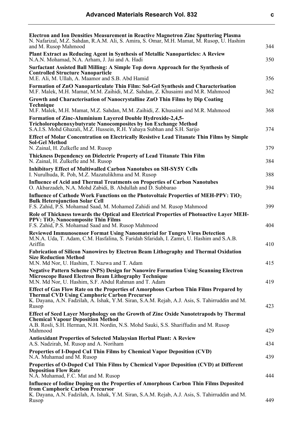| ٠<br>٠ | ٠           |  |
|--------|-------------|--|
|        | I<br>٦<br>I |  |
|        | ٠           |  |

| <b>Electron and Ion Densities Measurement in Reactive Magnetron Zinc Sputtering Plasma</b><br>N. Nafarizal, M.Z. Sahdan, R.A.M. Ali, S. Amira, S. Omar, M.H. Mamat, M. Rusop, U. Hashim<br>and M. Rusop Mahmood         | 344 |
|-------------------------------------------------------------------------------------------------------------------------------------------------------------------------------------------------------------------------|-----|
| Plant Extract as Reducing Agent in Synthesis of Metallic Nanoparticles: A Review<br>N.A.N. Mohamad, N.A. Arham, J. Jai and A. Hadi                                                                                      | 350 |
| Surfactant Assisted Ball Milling: A Simple Top down Approach for the Synthesis of<br><b>Controlled Structure Nanoparticle</b>                                                                                           |     |
| M.E. Ali, M. Ullah, A. Maamor and S.B. Abd Hamid<br>Formation of ZnO Nanoparticulate Thin Film: Sol-Gel Synthesis and Characterisation                                                                                  | 356 |
| M.F. Malek, M.H. Mamat, M.M. Zaihidi, M.Z. Sahdan, Z. Khusaimi and M.R. Mahmood                                                                                                                                         | 362 |
| Growth and Characterisation of Nanocrystalline ZnO Thin Films by Dip Coating<br><b>Technique</b><br>M.F. Malek, M.H. Mamat, M.Z. Sahdan, M.M. Zaihidi, Z. Khusaimi and M.R. Mahmood                                     | 368 |
| <b>Formation of Zinc-Aluminium Layered Double Hydroxide-2,4,5-</b><br><b>Tricholorophenoxybutyrate Nanocomposites by Ion Exchange Method</b><br>S.A.I.S. Mohd Ghazali, M.Z. Hussein, R.H. Yahaya Subhan and S.H. Sarijo | 374 |
| <b>Effect of Molar Concentration on Electrically Resistive Lead Titanate Thin Films by Simple</b>                                                                                                                       |     |
| <b>Sol-Gel Method</b><br>N. Zainal, H. Zulkefle and M. Rusop                                                                                                                                                            | 379 |
| Thickness Dependency on Dielectric Property of Lead Titanate Thin Film<br>N. Zainal, H. Zulkefle and M. Rusop                                                                                                           | 384 |
| <b>Inhibitory Effect of Multiwalled Carbon Nanotubes on SH-SY5Y Cells</b><br>I. Nurulhuda, R. Poh, M.Z. Mazatulikhma and M. Rusop                                                                                       | 388 |
| <b>Influence of Acid and Thermal Treatments on Properties of Carbon Nanotubes</b><br>O. Akbarzadeh, N.A. Mohd Zabidi, B. Abdullah and D. Subbarao                                                                       | 394 |
| Influence of Cathode Work Functions on the Photovoltaic Properties of MEH-PPV: TiO <sub>2</sub>                                                                                                                         |     |
| <b>Bulk Heterojunction Solar Cell</b><br>F.S. Zahid, P.S. Mohamad Saad, M. Mohamed Zahidi and M. Rusop Mahmood                                                                                                          | 399 |
| Role of Thickness towards the Optical and Electrical Properties of Photoactive Layer MEH-<br><b>PPV: TiO<sub>2</sub> Nanocomposite Thin Films</b><br>F.S. Zahid, P.S. Mohamad Saad and M. Rusop Mahmood                 | 404 |
| <b>Reviewed Immunosensor Format Using Nanomaterial for Tungro Virus Detection</b><br>M.N.A. Uda, T. Adam, C.M. Hasfalina, S. Faridah Sfaridah, I. Zamri, U. Hashim and S.A.B.<br>Ariffin                                | 410 |
| <b>Fabrication of Silicon Nanowires by Electron Beam Lithography and Thermal Oxidation</b>                                                                                                                              |     |
| <b>Size Reduction Method</b><br>M.N. Md Nor, U. Hashim, T. Nazwa and T. Adam                                                                                                                                            | 415 |
| <b>Negative Pattern Scheme (NPS) Design for Nanowire Formation Using Scanning Electron</b><br><b>Microscope Based Electron Beam Lithography Technique</b><br>M.N. Md Nor, U. Hashim, S.F. Abdul Rahman and T. Adam      | 419 |
| <b>Effect of Gas Flow Rate on the Properties of Amorphous Carbon Thin Films Prepared by</b>                                                                                                                             |     |
| <b>Thermal CVD Using Camphoric Carbon Precursor</b><br>K. Dayana, A.N. Fadzilah, A. Ishak, Y.M. Siran, S.A.M. Rejab, A.J. Asis, S. Tahirruddin and M.<br>Rusop                                                          | 423 |
| Effect of Seed Layer Morphology on the Growth of Zinc Oxide Nanotetrapods by Thermal<br><b>Chemical Vapour Deposition Method</b>                                                                                        |     |
| A.B. Rosli, S.H. Herman, N.H. Nordin, N.S. Mohd Sauki, S.S. Shariffudin and M. Rusop<br>Mahmood                                                                                                                         | 429 |
| <b>Antioxidant Properties of Selected Malaysian Herbal Plant: A Review</b><br>A.S. Nadzirah, M. Rusop and A. Noriham                                                                                                    | 434 |
| Properties of I-Doped CuI Thin Films by Chemical Vapor Deposition (CVD)<br>N.A. Muhamad and M. Rusop                                                                                                                    | 439 |
| Properties of O-Doped Cul Thin Films by Chemical Vapor Deposition (CVD) at Different<br><b>Deposition Flow Rate</b><br>N.A. Muhamad, F.C. Mat and M. Rusop                                                              | 444 |
| Influence of Iodine Doping on the Properties of Amorphous Carbon Thin Films Deposited                                                                                                                                   |     |
| from Camphoric Carbon Precursor<br>K. Dayana, A.N. Fadzilah, A. Ishak, Y.M. Siran, S.A.M. Rejab, A.J. Asis, S. Tahirruddin and M.<br>Rusop                                                                              | 449 |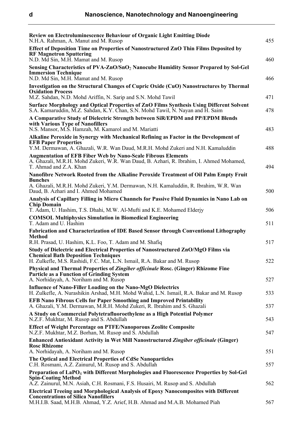| <b>Review on Electroluminescence Behaviour of Organic Light Emitting Diode</b><br>N.H.A. Rahman, A. Manut and M. Rusop                                                                                       | 455 |
|--------------------------------------------------------------------------------------------------------------------------------------------------------------------------------------------------------------|-----|
| Effect of Deposition Time on Properties of Nanostructured ZnO Thin Films Deposited by<br><b>RF Magnetron Sputtering</b>                                                                                      |     |
| N.D. Md Sin, M.H. Mamat and M. Rusop                                                                                                                                                                         | 460 |
| Sensing Characteristics of PVA-ZnO/SnO <sub>2</sub> Nanocube Humidity Sensor Prepared by Sol-Gel<br><b>Immersion Technique</b><br>N.D. Md Sin, M.H. Mamat and M. Rusop                                       | 466 |
| Investigation on the Structural Changes of Cupric Oxide (CuO) Nanostructures by Thermal                                                                                                                      |     |
| <b>Oxidation Process</b><br>M.Z. Sahdan, N.D. Mohd Ariffin, N. Sarip and S.N. Mohd Tawil                                                                                                                     | 471 |
| Surface Morphology and Optical Properties of ZnO Films Synthesis Using Different Solvent<br>S.A. Kamaruddin, M.Z. Sahdan, K.Y. Chan, S.N. Mohd Tawil, N. Nayan and H. Saim                                   | 478 |
| A Comparative Study of Dielectric Strength between SiR/EPDM and PP/EPDM Blends<br>with Various Type of Nanofillers                                                                                           |     |
| N.S. Mansor, M.S. Hamzah, M. Kamarol and M. Mariatti                                                                                                                                                         | 483 |
| Alkaline Peroxide in Synergy with Mechanical Refining as Factor in the Development of<br><b>EFB Paper Properties</b>                                                                                         |     |
| Y.M. Dermawan, A. Ghazali, W.R. Wan Daud, M.R.H. Mohd Zukeri and N.H. Kamaluddin                                                                                                                             | 488 |
| <b>Augmentation of EFB Fiber Web by Nano-Scale Fibrous Elements</b><br>A. Ghazali, M.R.H. Mohd Zukeri, W.R. Wan Daud, B. Azhari, R. Ibrahim, I. Ahmed Mohamed,<br>T. Ahmad and Z.A. Khan                     | 494 |
| Nanofibre Network Rooted from the Alkaline Peroxide Treatment of Oil Palm Empty Fruit                                                                                                                        |     |
| <b>Bunches</b><br>A. Ghazali, M.R.H. Mohd Zukeri, Y.M. Dermawan, N.H. Kamaluddin, R. Ibrahim, W.R. Wan<br>Daud, B. Azhari and I. Ahmed Mohamed                                                               | 500 |
| Analysis of Capillary Filling in Micro Channels for Passive Fluid Dynamics in Nano Lab on                                                                                                                    |     |
| <b>Chip Domain</b><br>T. Adam, U. Hashim, T.S. Dhahi, M.W. Al-Mufti and K.E. Mohamed Elderjy                                                                                                                 | 506 |
| <b>COMSOL Multiphysics Simulation in Biomedical Engineering</b><br>T. Adam and U. Hashim                                                                                                                     | 511 |
| <b>Fabrication and Characterization of IDE Based Sensor through Conventional Lithography</b><br><b>Method</b>                                                                                                |     |
| R.H. Prasad, U. Hashim, K.L. Foo, T. Adam and M. Shafiq                                                                                                                                                      | 517 |
| Study of Dielectric and Electrical Properties of Nanostructured ZnO/MgO Films via<br><b>Chemical Bath Deposition Techniques</b><br>H. Zulkefle, M.S. Rashidi, F.C. Mat, L.N. Ismail, R.A. Bakar and M. Rusop | 522 |
| Physical and Thermal Properties of Zingiber officinale Rosc. (Ginger) Rhizome Fine                                                                                                                           |     |
| <b>Particle as a Function of Grinding System</b>                                                                                                                                                             |     |
| A. Norhidayah, A. Noriham and M. Rusop                                                                                                                                                                       | 527 |
| <b>Influence of Nano-Filler Loading on the Nano-MgO Dielectrics</b><br>H. Zulkefle, A. Nurashikin Arshad, M.H. Mohd Wahid, L.N. Ismail, R.A. Bakar and M. Rusop                                              | 533 |
| <b>EFB Nano Fibrous Cells for Paper Smoothing and Improved Printability</b><br>A. Ghazali, Y.M. Dermawan, M.R.H. Mohd Zukeri, R. Ibrahim and S. Ghazali                                                      | 537 |
| A Study on Commercial Polytetrafluoroethylene as a High Potential Polymer<br>N.Z.F. Mukhtar, M. Rusop and S. Abdullah                                                                                        | 543 |
| <b>Effect of Weight Percentage on PTFE/Nanoporous Zeolite Composite</b><br>N.Z.F. Mukhtar, M.Z. Borhan, M. Rusop and S. Abdullah                                                                             | 547 |
| Enhanced Antioxidant Activity in Wet Mill Nanostructured Zingiber officinale (Ginger)                                                                                                                        |     |
| <b>Rosc Rhizome</b><br>A. Norhidayah, A. Noriham and M. Rusop                                                                                                                                                | 551 |
| The Optical and Electrical Properties of CdSe Nanoparticles<br>C.H. Rosmani, A.Z. Zainurul, M. Rusop and S. Abdullah                                                                                         | 557 |
| Preparation of LaPO <sub>4</sub> with Different Morphologies and Fluorescence Properties by Sol-Gel                                                                                                          |     |
| <b>Spin-Coating Method</b><br>A.Z. Zainurul, M.N. Asiah, C.H. Rosmani, F.S. Husairi, M. Rusop and S. Abdullah                                                                                                | 562 |
| <b>Electrical Treeing and Morphological Analysis of Epoxy Nanocomposites with Different</b>                                                                                                                  |     |
| <b>Concentrations of Silica Nanofillers</b><br>M.H.I.B. Saad, M.H.B. Ahmad, Y.Z. Arief, H.B. Ahmad and M.A.B. Mohamed Piah                                                                                   | 567 |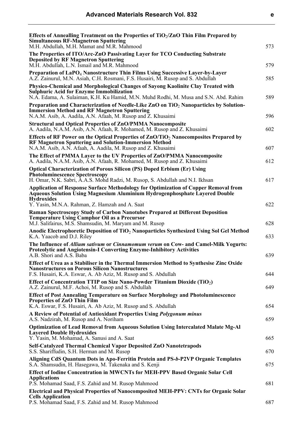| ×  | ۰. |  |
|----|----|--|
| v. | ۰, |  |

| Effects of Annealling Treatment on the Properties of $TiO_2/ZnO$ Thin Film Prepared by<br><b>Simultaneous RF-Magnetron Sputtering</b><br>M.H. Abdullah, M.H. Mamat and M.R. Mahmood                                         | 573 |
|-----------------------------------------------------------------------------------------------------------------------------------------------------------------------------------------------------------------------------|-----|
| The Properties of ITO/Arc-ZnO Passivating Layer for TCO Conducting Substrate<br><b>Deposited by RF Magnetron Sputtering</b>                                                                                                 |     |
| M.H. Abdullah, L.N. Ismail and M.R. Mahmood                                                                                                                                                                                 | 579 |
| Preparation of LaPO <sub>4</sub> Nanostructure Thin Films Using Successive Layer-by-Layer<br>A.Z. Zainurul, M.N. Asiah, C.H. Rosmani, F.S. Husairi, M. Rusop and S. Abdullah                                                | 585 |
| Physico-Chemical and Morphological Changes of Sayong Kaolinite Clay Treated with<br><b>Sulphuric Acid for Enzyme Immobilization</b><br>N.A. Edama, A. Sulaiman, K.H. Ku Hamid, M.N. Muhd Rodhi, M. Musa and S.N. Abd. Rahim | 589 |
| Preparation and Characterization of Needle-Like ZnO on TiO <sub>2</sub> Nanoparticles by Solution-<br><b>Immersion Method and RF Magnetron Sputtering</b><br>N.A.M. Asib, A. Aadila, A.N. Afaah, M. Rusop and Z. Khusaimi   | 596 |
| <b>Structural and Optical Properties of ZnO/PMMA Nanocomposite</b><br>A. Aadila, N.A.M. Asib, A.N. Afaah, R. Mohamed, M. Rusop and Z. Khusaimi                                                                              | 602 |
| Effects of RF Power on the Optical Properties of $ZnO/TiO2$ Nanocomposites Prepared by<br><b>RF Magnetron Sputtering and Solution-Immersion Method</b><br>N.A.M. Asib, A.N. Afaah, A. Aadila, M. Rusop and Z. Khusaimi      | 607 |
| The Effect of PMMA Layer to the UV Properties of ZnO/PMMA Nanocomposite<br>A. Aadila, N.A.M. Asib, A.N. Afaah, R. Mohamed, M. Rusop and Z. Khusaimi                                                                         | 612 |
| <b>Optical Characterization of Porous Silicon (PS) Doped Erbium (Er) Using</b><br><b>Photoluminescence Spectroscopy</b>                                                                                                     |     |
| H. Omar, N.K. Sabri, A.A.S. Mohd Radzi, M. Rusop, S. Abdullah and N.I. Ikhsan<br><b>Application of Response Surface Methodology for Optimization of Copper Removal from</b>                                                 | 617 |
| <b>Aqueous Solution Using Magnesium Aluminium Hydrogenphosphate Layered Double</b><br><b>Hydroxides</b>                                                                                                                     |     |
| Y. Yasin, M.N.A. Rahman, Z. Hamzah and A. Saat<br>Raman Spectroscopy Study of Carbon Nanotubes Prepared at Different Deposition                                                                                             | 622 |
| <b>Temperature Using Camphor Oil as a Precursor</b><br>M.J. Salifairus, M.S. Shamsudin, M. Maryam and M. Rusop                                                                                                              | 628 |
| Anodic Electrophoretic Deposition of TiO <sub>2</sub> Nanoparticles Synthesized Using Sol Gel Method<br>K.A. Yaacob and D.J. Riley                                                                                          | 633 |
| The Influence of <i>Allium sativum</i> or <i>Cinnamomum verum</i> on Cow- and Camel-Milk Yogurts:<br><b>Proteolytic and Angiotensin-I Converting Enzyme-Inhibitory Activities</b><br>A.B. Shori and A.S. Baba               | 639 |
| Effect of Urea as a Stabiliser in the Thermal Immersion Method to Synthesise Zinc Oxide<br><b>Nanostructures on Porous Silicon Nanostructures</b>                                                                           | 644 |
| F.S. Husairi, K.A. Eswar, A. Ab Aziz, M. Rusop and S. Abdullah<br>Effect of Concentration TTIP on Size Nano-Powder Titanium Dioxide (TiO <sub>2</sub> )                                                                     |     |
| A.Z. Zainurul, M.F. Achoi, M. Rusop and S. Abdullah                                                                                                                                                                         | 649 |
| <b>Effect of Post Annealing Temperature on Surface Morphology and Photoluminescence</b><br><b>Properties of ZnO Thin Film</b><br>K.A. Eswar, F.S. Husairi, A. Ab Aziz, M. Rusop and S. Abdullah                             | 654 |
| A Review of Potential of Antioxidant Properties Using <i>Polygonum minus</i><br>A.S. Nadzirah, M. Rusop and A. Noriham                                                                                                      | 659 |
| <b>Optimization of Lead Removal from Aqueous Solution Using Intercalated Malate Mg-Al</b><br><b>Layered Double Hydroxides</b><br>Y. Yasin, M. Mohamad, A. Sanusi and A. Saat                                                | 665 |
| <b>Self-Catalyzed Thermal Chemical Vapor Deposited ZnO Nanotetrapods</b><br>S.S. Shariffudin, S.H. Herman and M. Rusop                                                                                                      | 670 |
| Aligning CdS Quantum Dots in Apo-Ferritin Protein and PS-b-P2VP Organic Templates<br>S.A. Shamsudin, H. Hasegawa, M. Takenaka and S. Kenji                                                                                  | 675 |
| <b>Effect of Iodine Concentration in MWCNTs for MEH-PPV Based Organic Solar Cell</b><br><b>Applications</b>                                                                                                                 |     |
| P.S. Mohamad Saad, F.S. Zahid and M. Rusop Mahmood<br>Electrical and Physical Properties of Nanocomposited MEH-PPV: CNTs for Organic Solar                                                                                  | 681 |
| <b>Cells Application</b><br>P.S. Mohamad Saad, F.S. Zahid and M. Rusop Mahmood                                                                                                                                              | 687 |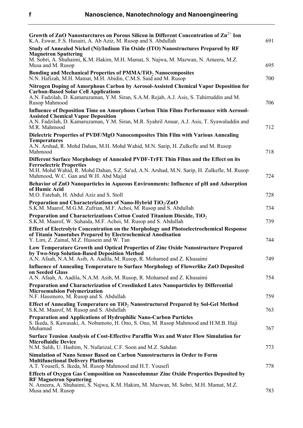| Growth of ZnO Nanosturctures on Porous Silicon in Different Concentration of $\text{Zn}^{2+}$ Ion<br>K.A. Eswar, F.S. Husairi, A. Ab Aziz, M. Rusop and S. Abdullah                                            | 691 |
|----------------------------------------------------------------------------------------------------------------------------------------------------------------------------------------------------------------|-----|
| Study of Annealed Nickel (Ni)/Indium Tin Oxide (ITO) Nanostructures Prepared by RF<br><b>Magnetron Sputtering</b>                                                                                              |     |
| M. Sobri, A. Shuhaimi, K.M. Hakim, M.H. Mamat, S. Najwa, M. Mazwan, N. Ameera, M.Z.<br>Musa and M. Rusop                                                                                                       | 695 |
| <b>Bonding and Mechanical Properties of PMMA/TiO<sub>2</sub> Nanocomposites</b><br>N.N. Hafizah, M.H. Mamat, M.H. Abidin, C.M.S. Said and M. Rusop                                                             | 700 |
| Nitrogen Doping of Amorphous Carbon by Aerosol-Assisted Chemical Vapor Deposition for<br><b>Carbon-Based Solar Cell Applications</b>                                                                           |     |
| A.N. Fadzilah, D. Kamaruzaman, Y.M. Siran, S.A.M. Rejab, A.J. Asis, S. Tahirruddin and M.<br>Rusop Mahmood                                                                                                     | 706 |
| <b>Influence of Deposition Time on Amorphous Carbon Thin Films Performance with Aerosol-</b><br><b>Assisted Chemical Vapor Deposition</b>                                                                      |     |
| A.N. Fadzilah, D. Kamaruzaman, Y.M. Siran, M.R. Syahril Anuar, A.J. Asis, T. Syawaluddin and<br>M.R. Mahmood                                                                                                   | 712 |
| Dielectric Properties of PVDF/MgO Nanocomposites Thin Film with Various Annealing<br><b>Temperatures</b>                                                                                                       |     |
| A.N. Arshad, R. Mohd Dahan, M.H. Mohd Wahid, M.N. Sarip, H. Zulkefle and M. Rusop<br>Mahmood                                                                                                                   | 718 |
| Different Surface Morphology of Annealed PVDF-TrFE Thin Films and the Effect on its<br><b>Ferroelectric Properties</b>                                                                                         |     |
| M.H. Mohd Wahid, R. Mohd Dahan, S.Z. Sa'ad, A.N. Arshad, M.N. Sarip, H. Zulkefle, M. Rusop<br>Mahmood, W.C. Gan and W.H. Abd Majid                                                                             | 724 |
| Behavior of ZnO Nanoparticles in Aqueous Environments: Influence of pH and Adsorption<br>of Humic Acid                                                                                                         |     |
| M.O. Fatehah, H. Abdul Aziz and S. Stoll                                                                                                                                                                       | 728 |
| Preparation and Characterizations of Nano-Hybrid $TiO_2/ZnO$<br>S.K.M. Maarof, M.G.M. Zufrian, M.F. Achoi, M. Rusop and S. Abdullah                                                                            | 734 |
| Preparation and Characterizations Cotton Coated Titanium Dioxide, TiO <sub>2</sub><br>S.K.M. Maarof, W. Suhaida, M.F. Achoi, M. Rusop and S. Abdullah                                                          | 739 |
| <b>Effect of Electrolyte Concentration on the Morphology and Photoelectrochemical Response</b><br>of Titania Nanotubes Prepared by Electrochemical Anodisation<br>Y. Lim, Z. Zainal, M.Z. Hussein and W. Tan   | 744 |
| Low Temperature Growth and Optical Properties of Zinc Oxide Nanostructure Prepared<br>by Two-Step Solution-Based Deposition Method<br>A.N. Afaah, N.A.M. Asib, A. Aadila, M. Rusop, R. Mohamed and Z. Khusaimi | 749 |
| <b>Influence of Annealing Temperature to Surface Morphology of Flowerlike ZnO Deposited</b>                                                                                                                    |     |
| on Seeded Glass<br>A.N. Afaah, A. Aadila, N.A.M. Asib, M. Rusop, R. Mohamed and Z. Khusaimi                                                                                                                    | 754 |
| Preparation and Characterization of Crosslinked Latex Nanoparticles by Differential<br><b>Microemulsion Polymerization</b>                                                                                     |     |
| N.F. Hassmoro, M. Rusop and S. Abdullah                                                                                                                                                                        | 759 |
| Effect of Annealing Temperature on TiO <sub>2</sub> Nanostructured Prepared by Sol-Gel Method<br>S.K.M. Maarof, M. Rusop and S. Abdullah                                                                       | 763 |
| Preparation and Applications of Hydrophilic Nano-Carbon Particles<br>S. Ikeda, S. Kawasaki, A. Nobumoto, H. Ono, S. Ono, M. Rusop Mahmood and H.M.B. Haji<br>Muhamad                                           | 767 |
| <b>Surface Tension Analysis of Cost-Effective Paraffin Wax and Water Flow Simulation for</b><br><b>Microfluidic Device</b>                                                                                     |     |
| N.M. Salih, U. Hashim, N. Nafarizal, C.F. Soon and M.Z. Sahdan<br><b>Simulation of Nano Sensor Based on Carbon Nanostructures in Order to Form</b>                                                             | 773 |
| <b>Multifunctional Delivery Platforms</b><br>A.T. Yousefi, S. Ikeda, M. Rusop Mahmood and H.T. Yousefi                                                                                                         | 778 |
| <b>Effects of Oxygen Gas Composition on Nanocolumnar Zinc Oxide Properties Deposited by</b><br><b>RF Magnetron Sputtering</b>                                                                                  |     |
| N. Ameera, A. Shuhaimi, S. Najwa, K.M. Hakim, M. Mazwan, M. Sobri, M.H. Mamat, M.Z.<br>Musa and M. Rusop                                                                                                       | 783 |